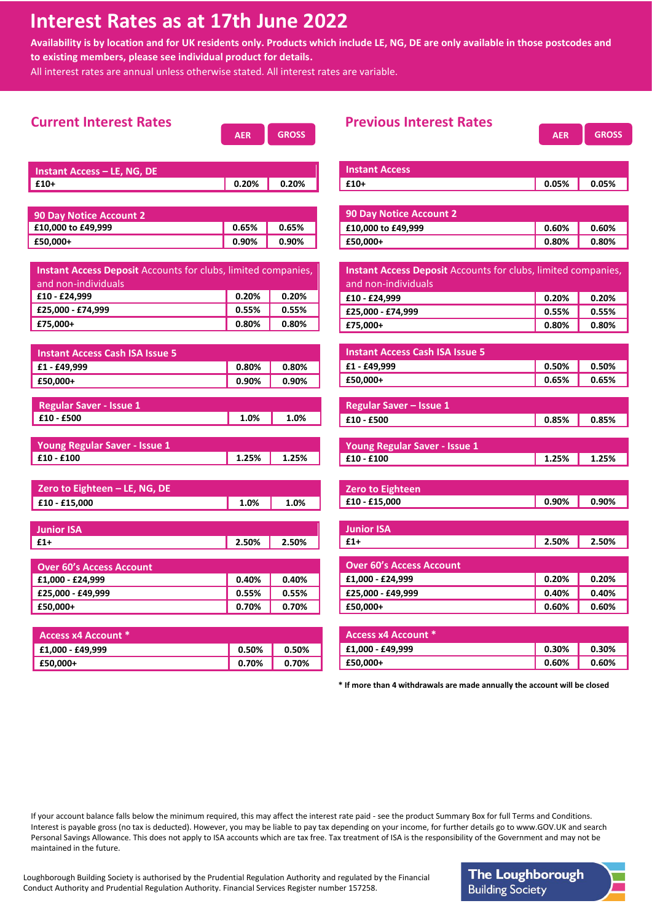## **Interest Rates as at 17th June 2022**

**Availability is by location and for UK residents only. Products which include LE, NG, DE are only available in those postcodes and to existing members, please see individual product for details.**

All interest rates are annual unless otherwise stated. All interest rates are variable.

| <b>Current Interest Rates</b>                                        | <b>AER</b> | <b>GROSS</b> | <b>Previous Interest Rates</b>                                            | <b>AER</b> | <b>GROSS</b> |
|----------------------------------------------------------------------|------------|--------------|---------------------------------------------------------------------------|------------|--------------|
| <b>Instant Access - LE, NG, DE</b>                                   |            |              | <b>Instant Access</b>                                                     |            |              |
| $£10+$                                                               | 0.20%      | 0.20%        | $£10+$                                                                    | 0.05%      | 0.05%        |
|                                                                      |            |              |                                                                           |            |              |
| <b>90 Day Notice Account 2</b>                                       |            |              | <b>90 Day Notice Account 2</b>                                            |            |              |
| £10,000 to £49,999                                                   | 0.65%      | 0.65%        | £10,000 to £49,999                                                        | 0.60%      | 0.60%        |
| £50,000+                                                             | 0.90%      | 0.90%        | £50,000+                                                                  | 0.80%      | 0.80%        |
|                                                                      |            |              |                                                                           |            |              |
| <b>Instant Access Deposit Accounts for clubs, limited companies,</b> |            |              | Instant Access Deposit Accounts for clubs, limited companies,             |            |              |
| and non-individuals                                                  |            |              | and non-individuals                                                       |            |              |
| £10 - £24,999                                                        | 0.20%      | 0.20%        | £10 - £24,999                                                             | 0.20%      | 0.20%        |
| £25,000 - £74,999                                                    | 0.55%      | 0.55%        | £25,000 - £74,999                                                         | 0.55%      | 0.55%        |
| £75,000+                                                             | 0.80%      | 0.80%        | £75,000+                                                                  | 0.80%      | 0.80%        |
|                                                                      |            |              |                                                                           |            |              |
| <b>Instant Access Cash ISA Issue 5</b>                               |            |              | <b>Instant Access Cash ISA Issue 5</b>                                    |            |              |
| £1 - £49.999                                                         | 0.80%      | 0.80%        | £1 - £49,999                                                              | 0.50%      | 0.50%        |
| £50,000+                                                             | 0.90%      | 0.90%        | £50,000+                                                                  | 0.65%      | 0.65%        |
|                                                                      |            |              |                                                                           |            |              |
| <b>Regular Saver - Issue 1</b>                                       |            |              | <b>Regular Saver - Issue 1</b>                                            |            |              |
| $£10 - £500$                                                         | 1.0%       | 1.0%         | £10 - £500                                                                | 0.85%      | 0.85%        |
|                                                                      |            |              |                                                                           |            |              |
| <b>Young Regular Saver - Issue 1</b>                                 |            |              | Young Regular Saver - Issue 1                                             |            |              |
| £10 - £100                                                           | 1.25%      | 1.25%        | £10 - £100                                                                | 1.25%      | 1.25%        |
|                                                                      |            |              |                                                                           |            |              |
| Zero to Eighteen - LE, NG, DE                                        |            |              | <b>Zero to Eighteen</b>                                                   |            |              |
| £10 - £15,000                                                        | 1.0%       | 1.0%         | £10 - £15,000                                                             | 0.90%      | 0.90%        |
|                                                                      |            |              |                                                                           |            |              |
| <b>Junior ISA</b>                                                    |            |              | <b>Junior ISA</b>                                                         |            |              |
| $£1+$                                                                | 2.50%      | 2.50%        | £1+                                                                       | 2.50%      | 2.50%        |
| <b>Over 60's Access Account</b>                                      |            |              | <b>Over 60's Access Account</b>                                           |            |              |
| £1,000 - £24,999                                                     | 0.40%      | 0.40%        | £1,000 - £24,999                                                          | 0.20%      | 0.20%        |
| £25,000 - £49,999                                                    | 0.55%      | 0.55%        | £25,000 - £49,999                                                         | 0.40%      | 0.40%        |
| £50.000+                                                             | 0.70%      | 0.70%        | £50,000+                                                                  | 0.60%      | 0.60%        |
|                                                                      |            |              |                                                                           |            |              |
| <b>Access x4 Account *</b>                                           |            |              | <b>Access x4 Account *</b>                                                |            |              |
| £1,000 - £49,999                                                     | 0.50%      | 0.50%        | £1,000 - £49,999                                                          | 0.30%      | 0.30%        |
| £50.000+                                                             | 0.70%      | 0.70%        | £50,000+                                                                  | 0.60%      | 0.60%        |
|                                                                      |            |              |                                                                           |            |              |
|                                                                      |            |              | * If more than 4 withdrawals are made annually the account will be closed |            |              |

If your account balance falls below the minimum required, this may affect the interest rate paid - see the product Summary Box for full Terms and Conditions. Interest is payable gross (no tax is deducted). However, you may be liable to pay tax depending on your income, for further details go to www.GOV.UK and search Personal Savings Allowance. This does not apply to ISA accounts which are tax free. Tax treatment of ISA is the responsibility of the Government and may not be maintained in the future.

Loughborough Building Society is authorised by the Prudential Regulation Authority and regulated by the Financial Conduct Authority and Prudential Regulation Authority. Financial Services Register number 157258.